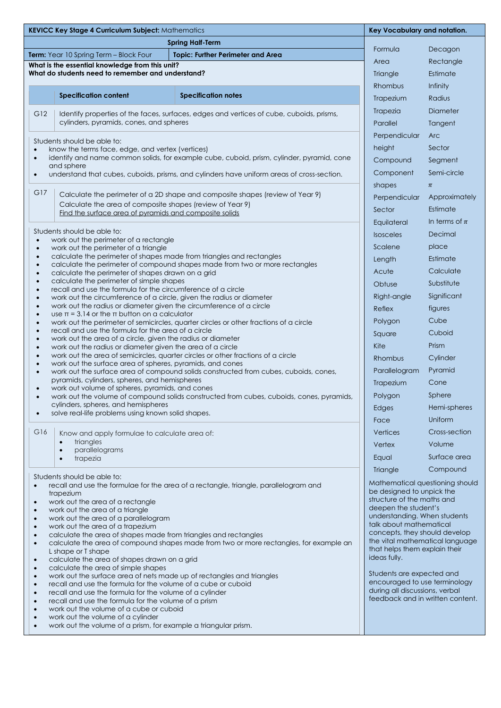| <b>Spring Half-Term</b><br>Term: Year 10 Spring Term - Block Four<br><b>Topic: Further Perimeter and Area</b><br>Area<br>What is the essential knowledge from this unit?<br>What do students need to remember and understand?<br><b>Specification content</b><br><b>Specification notes</b><br>G12<br>Identify properties of the faces, surfaces, edges and vertices of cube, cuboids, prisms,                                                                                                                                                                                                                                                                                                                                                                                                                                                                                                                                                                                                                                                                                                                                       | Formula<br>Triangle<br>Rhombus<br>Trapezium<br>Trapezia<br>Parallel<br>Perpendicular<br>height                                                                                                                                                                                                                                                                                                                                         | Decagon<br>Rectangle<br>Estimate<br>Infinity<br>Radius<br>Diameter<br>Tangent |
|--------------------------------------------------------------------------------------------------------------------------------------------------------------------------------------------------------------------------------------------------------------------------------------------------------------------------------------------------------------------------------------------------------------------------------------------------------------------------------------------------------------------------------------------------------------------------------------------------------------------------------------------------------------------------------------------------------------------------------------------------------------------------------------------------------------------------------------------------------------------------------------------------------------------------------------------------------------------------------------------------------------------------------------------------------------------------------------------------------------------------------------|----------------------------------------------------------------------------------------------------------------------------------------------------------------------------------------------------------------------------------------------------------------------------------------------------------------------------------------------------------------------------------------------------------------------------------------|-------------------------------------------------------------------------------|
|                                                                                                                                                                                                                                                                                                                                                                                                                                                                                                                                                                                                                                                                                                                                                                                                                                                                                                                                                                                                                                                                                                                                      |                                                                                                                                                                                                                                                                                                                                                                                                                                        |                                                                               |
|                                                                                                                                                                                                                                                                                                                                                                                                                                                                                                                                                                                                                                                                                                                                                                                                                                                                                                                                                                                                                                                                                                                                      |                                                                                                                                                                                                                                                                                                                                                                                                                                        |                                                                               |
|                                                                                                                                                                                                                                                                                                                                                                                                                                                                                                                                                                                                                                                                                                                                                                                                                                                                                                                                                                                                                                                                                                                                      |                                                                                                                                                                                                                                                                                                                                                                                                                                        |                                                                               |
|                                                                                                                                                                                                                                                                                                                                                                                                                                                                                                                                                                                                                                                                                                                                                                                                                                                                                                                                                                                                                                                                                                                                      |                                                                                                                                                                                                                                                                                                                                                                                                                                        |                                                                               |
|                                                                                                                                                                                                                                                                                                                                                                                                                                                                                                                                                                                                                                                                                                                                                                                                                                                                                                                                                                                                                                                                                                                                      |                                                                                                                                                                                                                                                                                                                                                                                                                                        |                                                                               |
|                                                                                                                                                                                                                                                                                                                                                                                                                                                                                                                                                                                                                                                                                                                                                                                                                                                                                                                                                                                                                                                                                                                                      |                                                                                                                                                                                                                                                                                                                                                                                                                                        |                                                                               |
|                                                                                                                                                                                                                                                                                                                                                                                                                                                                                                                                                                                                                                                                                                                                                                                                                                                                                                                                                                                                                                                                                                                                      |                                                                                                                                                                                                                                                                                                                                                                                                                                        |                                                                               |
| cylinders, pyramids, cones, and spheres                                                                                                                                                                                                                                                                                                                                                                                                                                                                                                                                                                                                                                                                                                                                                                                                                                                                                                                                                                                                                                                                                              |                                                                                                                                                                                                                                                                                                                                                                                                                                        |                                                                               |
| Students should be able to:                                                                                                                                                                                                                                                                                                                                                                                                                                                                                                                                                                                                                                                                                                                                                                                                                                                                                                                                                                                                                                                                                                          |                                                                                                                                                                                                                                                                                                                                                                                                                                        | <b>Arc</b>                                                                    |
| know the terms face, edge, and vertex (vertices)<br>$\bullet$                                                                                                                                                                                                                                                                                                                                                                                                                                                                                                                                                                                                                                                                                                                                                                                                                                                                                                                                                                                                                                                                        |                                                                                                                                                                                                                                                                                                                                                                                                                                        | Sector                                                                        |
| identify and name common solids, for example cube, cuboid, prism, cylinder, pyramid, cone<br>$\bullet$<br>and sphere                                                                                                                                                                                                                                                                                                                                                                                                                                                                                                                                                                                                                                                                                                                                                                                                                                                                                                                                                                                                                 | Compound                                                                                                                                                                                                                                                                                                                                                                                                                               | Segment                                                                       |
| understand that cubes, cuboids, prisms, and cylinders have uniform areas of cross-section.<br>$\bullet$                                                                                                                                                                                                                                                                                                                                                                                                                                                                                                                                                                                                                                                                                                                                                                                                                                                                                                                                                                                                                              | Component                                                                                                                                                                                                                                                                                                                                                                                                                              | Semi-circle                                                                   |
| G17                                                                                                                                                                                                                                                                                                                                                                                                                                                                                                                                                                                                                                                                                                                                                                                                                                                                                                                                                                                                                                                                                                                                  | shapes                                                                                                                                                                                                                                                                                                                                                                                                                                 | $\pi$                                                                         |
| Calculate the perimeter of a 2D shape and composite shapes (review of Year 9)<br>Calculate the area of composite shapes (review of Year 9)                                                                                                                                                                                                                                                                                                                                                                                                                                                                                                                                                                                                                                                                                                                                                                                                                                                                                                                                                                                           | Perpendicular                                                                                                                                                                                                                                                                                                                                                                                                                          | Approximately                                                                 |
| Find the surface area of pyramids and composite solids                                                                                                                                                                                                                                                                                                                                                                                                                                                                                                                                                                                                                                                                                                                                                                                                                                                                                                                                                                                                                                                                               | Sector                                                                                                                                                                                                                                                                                                                                                                                                                                 | Estimate                                                                      |
|                                                                                                                                                                                                                                                                                                                                                                                                                                                                                                                                                                                                                                                                                                                                                                                                                                                                                                                                                                                                                                                                                                                                      | Equilateral                                                                                                                                                                                                                                                                                                                                                                                                                            | In terms of $\pi$                                                             |
| Students should be able to:<br>work out the perimeter of a rectangle<br>$\bullet$                                                                                                                                                                                                                                                                                                                                                                                                                                                                                                                                                                                                                                                                                                                                                                                                                                                                                                                                                                                                                                                    | <b>Isosceles</b>                                                                                                                                                                                                                                                                                                                                                                                                                       | Decimal                                                                       |
| work out the perimeter of a triangle<br>$\bullet$                                                                                                                                                                                                                                                                                                                                                                                                                                                                                                                                                                                                                                                                                                                                                                                                                                                                                                                                                                                                                                                                                    | Scalene                                                                                                                                                                                                                                                                                                                                                                                                                                | place                                                                         |
| calculate the perimeter of shapes made from triangles and rectangles<br>$\bullet$<br>calculate the perimeter of compound shapes made from two or more rectangles<br>$\bullet$                                                                                                                                                                                                                                                                                                                                                                                                                                                                                                                                                                                                                                                                                                                                                                                                                                                                                                                                                        | Length                                                                                                                                                                                                                                                                                                                                                                                                                                 | Estimate                                                                      |
| calculate the perimeter of shapes drawn on a grid<br>$\bullet$                                                                                                                                                                                                                                                                                                                                                                                                                                                                                                                                                                                                                                                                                                                                                                                                                                                                                                                                                                                                                                                                       | Acute                                                                                                                                                                                                                                                                                                                                                                                                                                  | Calculate                                                                     |
| calculate the perimeter of simple shapes<br>$\bullet$<br>recall and use the formula for the circumference of a circle<br>$\bullet$                                                                                                                                                                                                                                                                                                                                                                                                                                                                                                                                                                                                                                                                                                                                                                                                                                                                                                                                                                                                   | Obtuse                                                                                                                                                                                                                                                                                                                                                                                                                                 | Substitute                                                                    |
| work out the circumference of a circle, given the radius or diameter<br>$\bullet$                                                                                                                                                                                                                                                                                                                                                                                                                                                                                                                                                                                                                                                                                                                                                                                                                                                                                                                                                                                                                                                    | Right-angle                                                                                                                                                                                                                                                                                                                                                                                                                            | Significant                                                                   |
| work out the radius or diameter given the circumference of a circle<br>$\bullet$<br>use $\pi$ = 3.14 or the $\pi$ button on a calculator<br>$\bullet$                                                                                                                                                                                                                                                                                                                                                                                                                                                                                                                                                                                                                                                                                                                                                                                                                                                                                                                                                                                | Reflex                                                                                                                                                                                                                                                                                                                                                                                                                                 | figures                                                                       |
| work out the perimeter of semicircles, quarter circles or other fractions of a circle<br>$\bullet$                                                                                                                                                                                                                                                                                                                                                                                                                                                                                                                                                                                                                                                                                                                                                                                                                                                                                                                                                                                                                                   | Polygon                                                                                                                                                                                                                                                                                                                                                                                                                                | Cube                                                                          |
| recall and use the formula for the area of a circle<br>$\bullet$                                                                                                                                                                                                                                                                                                                                                                                                                                                                                                                                                                                                                                                                                                                                                                                                                                                                                                                                                                                                                                                                     | Square                                                                                                                                                                                                                                                                                                                                                                                                                                 | Cuboid                                                                        |
| work out the area of a circle, given the radius or diameter<br>$\bullet$<br>Kite<br>work out the radius or diameter given the area of a circle<br>$\bullet$                                                                                                                                                                                                                                                                                                                                                                                                                                                                                                                                                                                                                                                                                                                                                                                                                                                                                                                                                                          |                                                                                                                                                                                                                                                                                                                                                                                                                                        | Prism                                                                         |
| work out the area of semicircles, quarter circles or other fractions of a circle<br>$\bullet$                                                                                                                                                                                                                                                                                                                                                                                                                                                                                                                                                                                                                                                                                                                                                                                                                                                                                                                                                                                                                                        | Rhombus                                                                                                                                                                                                                                                                                                                                                                                                                                | Cylinder                                                                      |
| work out the surface area of spheres, pyramids, and cones<br>$\bullet$<br>work out the surface area of compound solids constructed from cubes, cuboids, cones,<br>$\bullet$                                                                                                                                                                                                                                                                                                                                                                                                                                                                                                                                                                                                                                                                                                                                                                                                                                                                                                                                                          | Parallelogram                                                                                                                                                                                                                                                                                                                                                                                                                          | Pyramid                                                                       |
| pyramids, cylinders, spheres, and hemispheres                                                                                                                                                                                                                                                                                                                                                                                                                                                                                                                                                                                                                                                                                                                                                                                                                                                                                                                                                                                                                                                                                        | Trapezium                                                                                                                                                                                                                                                                                                                                                                                                                              | Cone                                                                          |
| work out volume of spheres, pyramids, and cones<br>$\bullet$<br>work out the volume of compound solids constructed from cubes, cuboids, cones, pyramids,<br>$\bullet$                                                                                                                                                                                                                                                                                                                                                                                                                                                                                                                                                                                                                                                                                                                                                                                                                                                                                                                                                                | Polygon                                                                                                                                                                                                                                                                                                                                                                                                                                | Sphere                                                                        |
| cylinders, spheres, and hemispheres                                                                                                                                                                                                                                                                                                                                                                                                                                                                                                                                                                                                                                                                                                                                                                                                                                                                                                                                                                                                                                                                                                  | Edges                                                                                                                                                                                                                                                                                                                                                                                                                                  | Hemi-spheres                                                                  |
| solve real-life problems using known solid shapes.<br>$\bullet$<br>Face                                                                                                                                                                                                                                                                                                                                                                                                                                                                                                                                                                                                                                                                                                                                                                                                                                                                                                                                                                                                                                                              |                                                                                                                                                                                                                                                                                                                                                                                                                                        | Uniform                                                                       |
| G16<br>Know and apply formulae to calculate area of:                                                                                                                                                                                                                                                                                                                                                                                                                                                                                                                                                                                                                                                                                                                                                                                                                                                                                                                                                                                                                                                                                 | Vertices                                                                                                                                                                                                                                                                                                                                                                                                                               | Cross-section                                                                 |
| triangles<br>$\bullet$                                                                                                                                                                                                                                                                                                                                                                                                                                                                                                                                                                                                                                                                                                                                                                                                                                                                                                                                                                                                                                                                                                               | Vertex                                                                                                                                                                                                                                                                                                                                                                                                                                 | Volume                                                                        |
| parallelograms<br>$\bullet$<br>Equal<br>trapezia<br>$\bullet$                                                                                                                                                                                                                                                                                                                                                                                                                                                                                                                                                                                                                                                                                                                                                                                                                                                                                                                                                                                                                                                                        |                                                                                                                                                                                                                                                                                                                                                                                                                                        | Surface area                                                                  |
|                                                                                                                                                                                                                                                                                                                                                                                                                                                                                                                                                                                                                                                                                                                                                                                                                                                                                                                                                                                                                                                                                                                                      | Triangle                                                                                                                                                                                                                                                                                                                                                                                                                               | Compound                                                                      |
| recall and use the formulae for the area of a rectangle, triangle, parallelogram and<br>trapezium<br>work out the area of a rectangle<br>$\bullet$<br>work out the area of a triangle<br>$\bullet$<br>work out the area of a parallelogram<br>$\bullet$<br>work out the area of a trapezium<br>$\bullet$<br>calculate the area of shapes made from triangles and rectangles<br>$\bullet$<br>calculate the area of compound shapes made from two or more rectangles, for example an<br>$\bullet$<br>L shape or T shape<br>calculate the area of shapes drawn on a grid<br>$\bullet$<br>calculate the area of simple shapes<br>$\bullet$<br>work out the surface area of nets made up of rectangles and triangles<br>$\bullet$<br>recall and use the formula for the volume of a cube or cuboid<br>$\bullet$<br>recall and use the formula for the volume of a cylinder<br>$\bullet$<br>recall and use the formula for the volume of a prism<br>$\bullet$<br>work out the volume of a cube or cuboid<br>$\bullet$<br>work out the volume of a cylinder<br>$\bullet$<br>work out the volume of a prism, for example a triangular prism. | Mathematical questioning should<br>be designed to unpick the<br>structure of the maths and<br>deepen the student's<br>understanding. When students<br>talk about mathematical<br>concepts, they should develop<br>the vital mathematical language<br>that helps them explain their<br>ideas fully.<br>Students are expected and<br>encouraged to use terminology<br>during all discussions, verbal<br>feedback and in written content. |                                                                               |